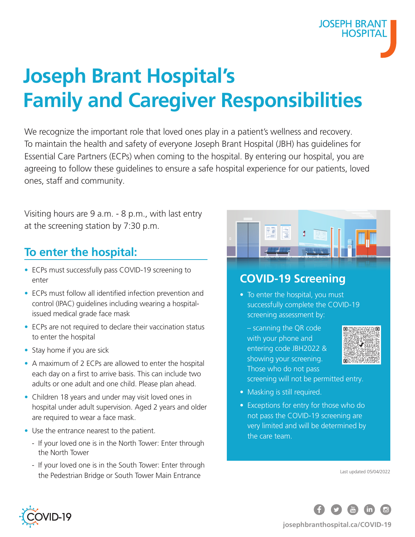# **Joseph Brant Hospital's Family and Caregiver Responsibilities**

We recognize the important role that loved ones play in a patient's wellness and recovery. To maintain the health and safety of everyone Joseph Brant Hospital (JBH) has guidelines for Essential Care Partners (ECPs) when coming to the hospital. By entering our hospital, you are agreeing to follow these guidelines to ensure a safe hospital experience for our patients, loved ones, staff and community.

Visiting hours are 9 a.m. - 8 p.m., with last entry at the screening station by 7:30 p.m.

## **To enter the hospital:**

- ECPs must successfully pass COVID-19 screening to enter
- ECPs must follow all identified infection prevention and control (IPAC) guidelines including wearing a hospitalissued medical grade face mask
- ECPs are not required to declare their vaccination status to enter the hospital
- Stay home if you are sick
- A maximum of 2 ECPs are allowed to enter the hospital each day on a first to arrive basis. This can include two adults or one adult and one child. Please plan ahead.
- Children 18 years and under may visit loved ones in hospital under adult supervision. Aged 2 years and older are required to wear a face mask.
- Use the entrance nearest to the patient.
	- If your loved one is in the North Tower: Enter through the North Tower
	- If your loved one is in the South Tower: Enter through the Pedestrian Bridge or South Tower Main Entrance



### **COVID-19 Screening**

- To enter the hospital, you must successfully complete the COVID-19 screening assessment by:
	- scanning the QR code with your phone and entering code JBH2022 & showing your screening. Those who do not pass screening will not be permitted entry.



**JOSEPH BRANT HOSPITA** 

- Masking is still required.
- Exceptions for entry for those who do not pass the COVID-19 screening are very limited and will be determined by the care team.

Last updated 05/04/2022